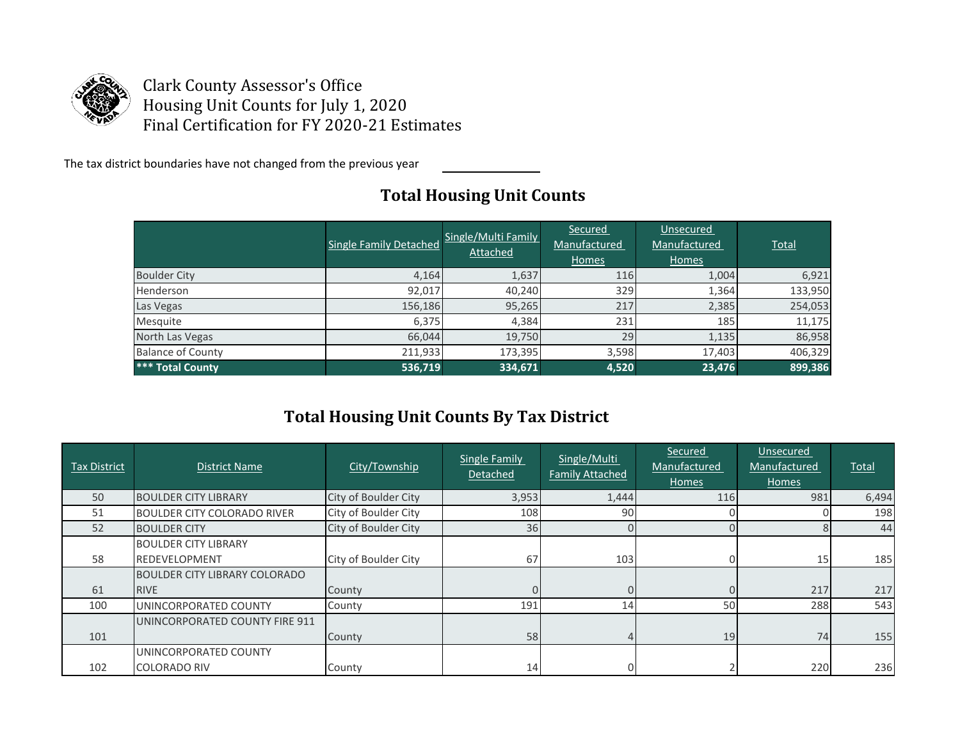

Clark County Assessor's Office Housing Unit Counts for July 1, 2020 Final Certification for FY 2020-21 Estimates

The tax district boundaries have not changed from the previous year

## **Total Housing Unit Counts**

|                          | Single Family Detached | Single/Multi Family<br><b>Attached</b> | Secured<br>Manufactured<br>Homes | Unsecured<br>Manufactured<br>Homes | Total   |
|--------------------------|------------------------|----------------------------------------|----------------------------------|------------------------------------|---------|
| <b>Boulder City</b>      | 4,164                  | 1,637                                  | 116                              | 1,004                              | 6,921   |
| Henderson                | 92,017                 | 40,240                                 | 329                              | 1,364                              | 133,950 |
| Las Vegas                | 156,186                | 95,265                                 | 217                              | 2,385                              | 254,053 |
| Mesquite                 | 6,375                  | 4,384                                  | 231                              | 185                                | 11,175  |
| North Las Vegas          | 66,044                 | 19,750                                 | 29                               | 1,135                              | 86,958  |
| <b>Balance of County</b> | 211,933                | 173,395                                | 3,598                            | 17,403                             | 406,329 |
| *** Total County         | 536,719                | 334,671                                | 4,520                            | 23,476                             | 899,386 |

## **Total Housing Unit Counts By Tax District**

| Tax District | <b>District Name</b>                                | City/Township        | <b>Single Family</b><br>Detached | Single/Multi<br><b>Family Attached</b> | <u>Secured</u><br>Manufactured<br>Homes | Unsecured<br>Manufactured<br>Homes | Total |
|--------------|-----------------------------------------------------|----------------------|----------------------------------|----------------------------------------|-----------------------------------------|------------------------------------|-------|
| 50           | <b>BOULDER CITY LIBRARY</b>                         | City of Boulder City | 3,953                            | 1,444                                  | 116                                     | 981                                | 6,494 |
| 51           | <b>BOULDER CITY COLORADO RIVER</b>                  | City of Boulder City | 108                              | 90                                     | 0                                       |                                    | 198   |
| 52           | <b>BOULDER CITY</b>                                 | City of Boulder City | 36                               |                                        |                                         |                                    | 44    |
| 58           | <b>BOULDER CITY LIBRARY</b><br><b>REDEVELOPMENT</b> | City of Boulder City | 67                               | 103                                    |                                         | 15                                 | 185   |
| 61           | <b>BOULDER CITY LIBRARY COLORADO</b><br><b>RIVE</b> | County               |                                  |                                        |                                         | 217                                | 217   |
| 100          | UNINCORPORATED COUNTY                               | County               | 191                              | 14                                     | 50                                      | 288                                | 543   |
| 101          | UNINCORPORATED COUNTY FIRE 911                      | County               | 58                               |                                        | 19                                      | 74                                 | 155   |
| 102          | UNINCORPORATED COUNTY<br><b>COLORADO RIV</b>        | County               | 14                               |                                        |                                         | 220                                | 236   |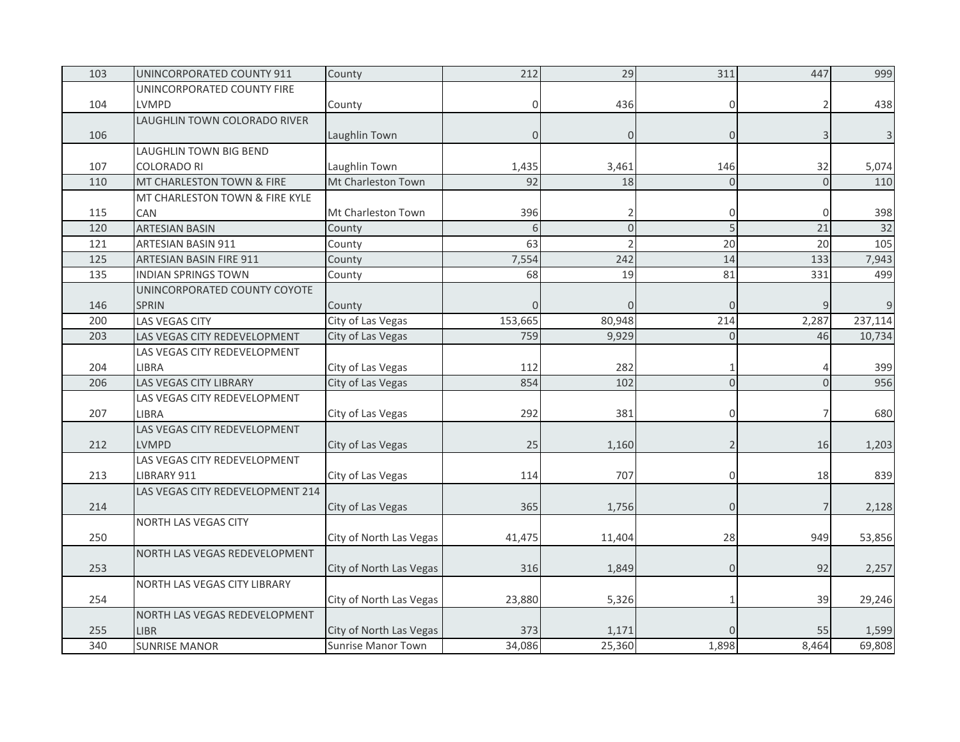| 103 | UNINCORPORATED COUNTY 911        | County                    | 212         | 29       | 311            | 447            | 999     |
|-----|----------------------------------|---------------------------|-------------|----------|----------------|----------------|---------|
|     | UNINCORPORATED COUNTY FIRE       |                           |             |          |                |                |         |
| 104 | LVMPD                            | County                    | $\mathbf 0$ | 436      | 0              |                | 438     |
|     | LAUGHLIN TOWN COLORADO RIVER     |                           |             |          |                |                |         |
| 106 |                                  | Laughlin Town             | $\Omega$    | $\Omega$ | $\Omega$       | 3              |         |
|     | LAUGHLIN TOWN BIG BEND           |                           |             |          |                |                |         |
| 107 | <b>COLORADO RI</b>               | Laughlin Town             | 1,435       | 3,461    | 146            | 32             | 5,074   |
| 110 | MT CHARLESTON TOWN & FIRE        | Mt Charleston Town        | 92          | 18       | $\Omega$       | $\overline{0}$ | 110     |
|     | MT CHARLESTON TOWN & FIRE KYLE   |                           |             |          |                |                |         |
| 115 | CAN                              | Mt Charleston Town        | 396         |          | 0              | $\mathbf 0$    | 398     |
| 120 | <b>ARTESIAN BASIN</b>            | County                    | 6           | $\Omega$ | 5              | 21             | 32      |
| 121 | <b>ARTESIAN BASIN 911</b>        | County                    | 63          |          | 20             | 20             | 105     |
| 125 | ARTESIAN BASIN FIRE 911          | County                    | 7,554       | 242      | 14             | 133            | 7,943   |
| 135 | <b>INDIAN SPRINGS TOWN</b>       | County                    | 68          | 19       | 81             | 331            | 499     |
|     | UNINCORPORATED COUNTY COYOTE     |                           |             |          |                |                |         |
| 146 | <b>SPRIN</b>                     | County                    | $\Omega$    | $\Omega$ | $\Omega$       | 9              | 9       |
| 200 | <b>LAS VEGAS CITY</b>            | City of Las Vegas         | 153,665     | 80,948   | 214            | 2,287          | 237,114 |
| 203 | LAS VEGAS CITY REDEVELOPMENT     | City of Las Vegas         | 759         | 9,929    | $\mathbf 0$    | 46             | 10,734  |
|     | LAS VEGAS CITY REDEVELOPMENT     |                           |             |          |                |                |         |
| 204 | <b>LIBRA</b>                     | City of Las Vegas         | 112         | 282      |                |                | 399     |
| 206 | <b>LAS VEGAS CITY LIBRARY</b>    | City of Las Vegas         | 854         | 102      | $\mathbf 0$    | $\Omega$       | 956     |
|     | LAS VEGAS CITY REDEVELOPMENT     |                           |             |          |                |                |         |
| 207 | <b>LIBRA</b>                     | City of Las Vegas         | 292         | 381      | 0              | 7              | 680     |
|     | LAS VEGAS CITY REDEVELOPMENT     |                           |             |          |                |                |         |
| 212 | <b>LVMPD</b>                     | City of Las Vegas         | 25          | 1,160    | $\overline{2}$ | 16             | 1,203   |
|     | LAS VEGAS CITY REDEVELOPMENT     |                           |             |          |                |                |         |
| 213 | LIBRARY 911                      | City of Las Vegas         | 114         | 707      | 0              | 18             | 839     |
|     | LAS VEGAS CITY REDEVELOPMENT 214 |                           |             |          |                |                |         |
| 214 |                                  | City of Las Vegas         | 365         | 1,756    | $\overline{O}$ | $\overline{7}$ | 2,128   |
|     | NORTH LAS VEGAS CITY             |                           |             |          |                |                |         |
| 250 |                                  | City of North Las Vegas   | 41,475      | 11,404   | 28             | 949            | 53,856  |
|     | NORTH LAS VEGAS REDEVELOPMENT    |                           |             |          |                |                |         |
| 253 |                                  | City of North Las Vegas   | 316         | 1,849    | $\overline{0}$ | 92             | 2,257   |
|     | NORTH LAS VEGAS CITY LIBRARY     |                           |             |          |                |                |         |
| 254 |                                  | City of North Las Vegas   | 23,880      | 5,326    | 1              | 39             | 29,246  |
|     | NORTH LAS VEGAS REDEVELOPMENT    |                           |             |          |                |                |         |
| 255 | <b>LIBR</b>                      | City of North Las Vegas   | 373         | 1,171    |                | 55             | 1,599   |
| 340 | <b>SUNRISE MANOR</b>             | <b>Sunrise Manor Town</b> | 34,086      | 25,360   | 1,898          | 8,464          | 69,808  |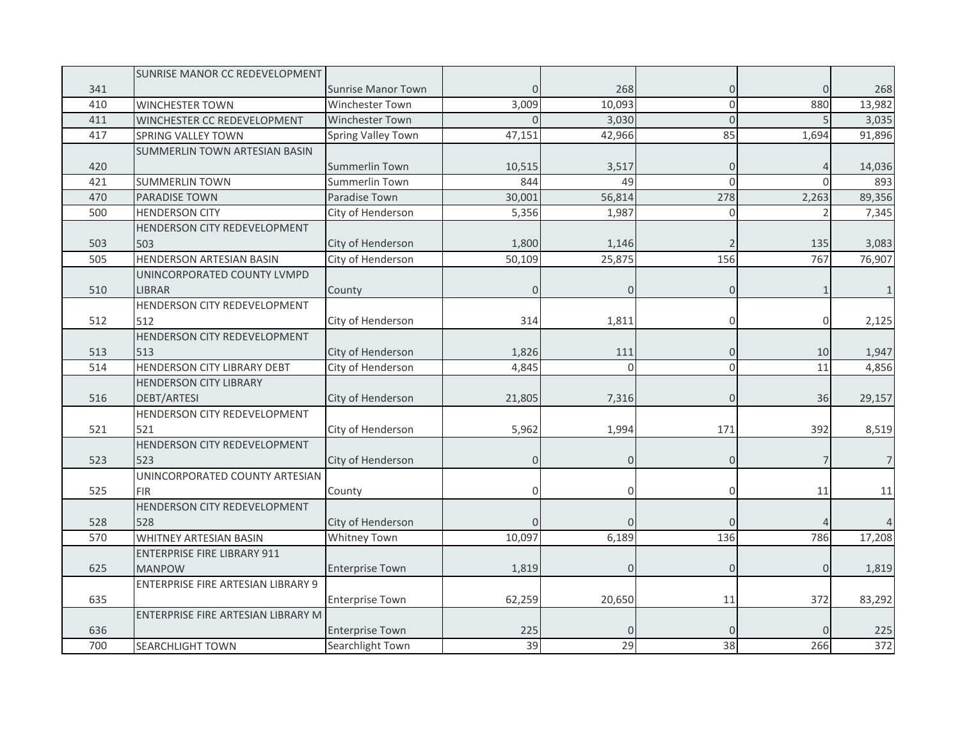|     | SUNRISE MANOR CC REDEVELOPMENT     |                           |              |          |                |                |                |
|-----|------------------------------------|---------------------------|--------------|----------|----------------|----------------|----------------|
| 341 |                                    | <b>Sunrise Manor Town</b> | $\mathbf 0$  | 268      | 0              | $\mathbf 0$    | 268            |
| 410 | <b>WINCHESTER TOWN</b>             | Winchester Town           | 3,009        | 10,093   | 0              | 880            | 13,982         |
| 411 | WINCHESTER CC REDEVELOPMENT        | Winchester Town           | $\Omega$     | 3,030    | $\overline{0}$ |                | 3,035          |
| 417 | <b>SPRING VALLEY TOWN</b>          | Spring Valley Town        | 47,151       | 42,966   | 85             | 1,694          | 91,896         |
|     | SUMMERLIN TOWN ARTESIAN BASIN      |                           |              |          |                |                |                |
| 420 |                                    | Summerlin Town            | 10,515       | 3,517    | 0              |                | 14,036         |
| 421 | <b>SUMMERLIN TOWN</b>              | Summerlin Town            | 844          | 49       | $\Omega$       | $\Omega$       | 893            |
| 470 | <b>PARADISE TOWN</b>               | Paradise Town             | 30,001       | 56,814   | 278            | 2,263          | 89,356         |
| 500 | <b>HENDERSON CITY</b>              | City of Henderson         | 5,356        | 1,987    | $\overline{0}$ |                | 7,345          |
|     | HENDERSON CITY REDEVELOPMENT       |                           |              |          |                |                |                |
| 503 | 503                                | City of Henderson         | 1,800        | 1,146    |                | 135            | 3,083          |
| 505 | HENDERSON ARTESIAN BASIN           | City of Henderson         | 50,109       | 25,875   | 156            | 767            | 76,907         |
|     | UNINCORPORATED COUNTY LVMPD        |                           |              |          |                |                |                |
| 510 | <b>LIBRAR</b>                      | County                    | $\Omega$     | $\Omega$ | 0              |                |                |
|     | HENDERSON CITY REDEVELOPMENT       |                           |              |          |                |                |                |
| 512 | 512                                | City of Henderson         | 314          | 1,811    | 0              | $\mathbf{0}$   | 2,125          |
|     | HENDERSON CITY REDEVELOPMENT       |                           |              |          |                |                |                |
| 513 | 513                                | City of Henderson         | 1,826        | 111      | 0              | 10             | 1,947          |
| 514 | HENDERSON CITY LIBRARY DEBT        | City of Henderson         | 4,845        | $\Omega$ | 0              | 11             | 4,856          |
|     | <b>HENDERSON CITY LIBRARY</b>      |                           |              |          |                |                |                |
| 516 | <b>DEBT/ARTESI</b>                 | City of Henderson         | 21,805       | 7,316    | 0              | 36             | 29,157         |
|     | HENDERSON CITY REDEVELOPMENT       |                           |              |          |                |                |                |
| 521 | 521                                | City of Henderson         | 5,962        | 1,994    | 171            | 392            | 8,519          |
|     | HENDERSON CITY REDEVELOPMENT       |                           |              |          |                |                |                |
| 523 | 523                                | City of Henderson         | $\mathbf{0}$ | 0        | 0              |                | $\overline{7}$ |
|     | UNINCORPORATED COUNTY ARTESIAN     |                           |              |          |                |                |                |
| 525 | <b>FIR</b>                         | County                    | $\Omega$     | $\Omega$ | 0              | 11             | 11             |
|     | HENDERSON CITY REDEVELOPMENT       |                           |              |          |                |                |                |
| 528 | 528                                | City of Henderson         | $\Omega$     |          | $\Omega$       |                |                |
| 570 | WHITNEY ARTESIAN BASIN             | Whitney Town              | 10,097       | 6,189    | 136            | 786            | 17,208         |
|     | <b>ENTERPRISE FIRE LIBRARY 911</b> |                           |              |          |                |                |                |
| 625 | <b>MANPOW</b>                      | <b>Enterprise Town</b>    | 1,819        | O        | $\overline{0}$ | $\overline{0}$ | 1,819          |
|     | ENTERPRISE FIRE ARTESIAN LIBRARY 9 |                           |              |          |                |                |                |
| 635 |                                    | <b>Enterprise Town</b>    | 62,259       | 20,650   | 11             | 372            | 83,292         |
|     | ENTERPRISE FIRE ARTESIAN LIBRARY M |                           |              |          |                |                |                |
| 636 |                                    | <b>Enterprise Town</b>    | 225          |          |                |                | 225            |
| 700 | <b>SEARCHLIGHT TOWN</b>            | Searchlight Town          | 39           | 29       | 38             | 266            | 372            |